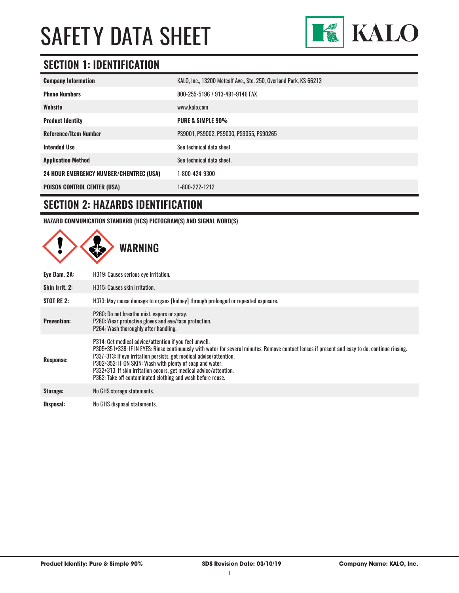

# **SECTION 1: IDENTIFICATION**

| <b>Company Information</b>                     | KALO, Inc., 13200 Metcalf Ave., Ste. 250, Overland Park, KS 66213 |
|------------------------------------------------|-------------------------------------------------------------------|
| <b>Phone Numbers</b>                           | 800-255-5196 / 913-491-9146 FAX                                   |
| Website                                        | www.kalo.com                                                      |
| <b>Product Identity</b>                        | <b>PURE &amp; SIMPLE 90%</b>                                      |
| <b>Reference/Item Number</b>                   | PS9001, PS9002, PS9030, PS9055, PS90265                           |
| <b>Intended Use</b>                            | See technical data sheet.                                         |
| <b>Application Method</b>                      | See technical data sheet.                                         |
| <b>24 HOUR EMERGENCY NUMBER/CHEMTREC (USA)</b> | 1-800-424-9300                                                    |
| <b>POISON CONTROL CENTER (USA)</b>             | 1-800-222-1212                                                    |

### **SECTION 2: HAZARDS IDENTIFICATION**

**HAZARD COMMUNICATION STANDARD (HCS) PICTOGRAM(S) AND SIGNAL WORD(S)**

|                    | <b>WARNING</b>                                                                                                                                                                                                                                                                                                                                                                                                                                                                     |
|--------------------|------------------------------------------------------------------------------------------------------------------------------------------------------------------------------------------------------------------------------------------------------------------------------------------------------------------------------------------------------------------------------------------------------------------------------------------------------------------------------------|
| Eye Dam. 2A:       | H319: Causes serious eye irritation.                                                                                                                                                                                                                                                                                                                                                                                                                                               |
| Skin Irrit. 2:     | H315: Causes skin irritation.                                                                                                                                                                                                                                                                                                                                                                                                                                                      |
| <b>STOT RE 2:</b>  | H373: May cause damage to organs [kidney] through prolonged or repeated exposure.                                                                                                                                                                                                                                                                                                                                                                                                  |
| <b>Prevention:</b> | P260: Do not breathe mist, vapors or spray.<br>P280: Wear protective gloves and eye/face protection.<br>P264: Wash thoroughly after handling.                                                                                                                                                                                                                                                                                                                                      |
| <b>Response:</b>   | P314: Get medical advice/attention if you feel unwell.<br>P305+351+338: IF IN EYES: Rinse continuously with water for several minutes. Remove contact lenses if present and easy to do; continue rinsing.<br>P337+313: If eye irritation persists, get medical advice/attention.<br>P302+352: IF ON SKIN: Wash with plenty of soap and water.<br>P332+313: If skin irritation occurs, get medical advice/attention.<br>P362: Take off contaminated clothing and wash before reuse. |
| Storage:           | No GHS storage statements.                                                                                                                                                                                                                                                                                                                                                                                                                                                         |
| Disposal:          | No GHS disposal statements.                                                                                                                                                                                                                                                                                                                                                                                                                                                        |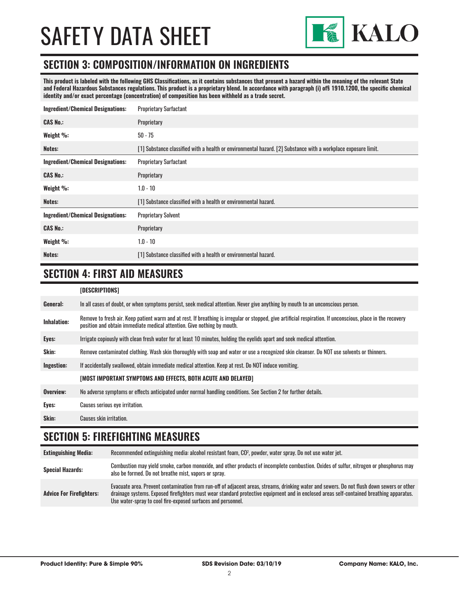

#### **SECTION 3: COMPOSITION/INFORMATION ON INGREDIENTS**

**This product is labeled with the following GHS Classifications, as it contains substances that present a hazard within the meaning of the relevant State and Federal Hazardous Substances regulations. This product is a proprietary blend. In accordance with paragraph (i) of§ 1910.1200, the specific chemical identity and/or exact percentage (concentration) of composition has been withheld as a trade secret.**

| <b>Proprietary Surfactant</b>                                                                                  |
|----------------------------------------------------------------------------------------------------------------|
| Proprietary                                                                                                    |
| $50 - 75$                                                                                                      |
| [1] Substance classified with a health or environmental hazard. [2] Substance with a workplace exposure limit. |
| <b>Proprietary Surfactant</b>                                                                                  |
| Proprietary                                                                                                    |
| $1.0 - 10$                                                                                                     |
| [1] Substance classified with a health or environmental hazard.                                                |
| <b>Proprietary Solvent</b>                                                                                     |
| Proprietary                                                                                                    |
| $1.0 - 10$                                                                                                     |
| [1] Substance classified with a health or environmental hazard.                                                |
|                                                                                                                |

### **SECTION 4: FIRST AID MEASURES**

#### **[DESCRIPTIONS]**

| General:           | In all cases of doubt, or when symptoms persist, seek medical attention. Never give anything by mouth to an unconscious person.                                                                                                         |
|--------------------|-----------------------------------------------------------------------------------------------------------------------------------------------------------------------------------------------------------------------------------------|
| <b>Inhalation:</b> | Remove to fresh air. Keep patient warm and at rest. If breathing is irregular or stopped, give artificial respiration. If unconscious, place in the recovery<br>position and obtain immediate medical attention. Give nothing by mouth. |
| Eyes:              | Irrigate copiously with clean fresh water for at least 10 minutes, holding the eyelids apart and seek medical attention.                                                                                                                |
| Skin:              | Remove contaminated clothing. Wash skin thoroughly with soap and water or use a recognized skin cleanser. Do NOT use solvents or thinners.                                                                                              |
| Ingestion:         | If accidentally swallowed, obtain immediate medical attention. Keep at rest, Do NOT induce vomiting.                                                                                                                                    |
|                    | [MOST IMPORTANT SYMPTOMS AND EFFECTS, BOTH ACUTE AND DELAYED]                                                                                                                                                                           |
| Overview:          | No adverse symptoms or effects anticipated under normal handling conditions. See Section 2 for further details.                                                                                                                         |
| Eyes:              | <b>Causes serious eye irritation.</b>                                                                                                                                                                                                   |
| Skin:              | Causes skin irritation.                                                                                                                                                                                                                 |

#### **SECTION 5: FIREFIGHTING MEASURES**

**Extinguishing Media:** Recommended extinguishing media: alcohol resistant foam, CO2 , powder, water spray. Do not use water jet. Special Hazards:<br> **Special Hazards:** Combustion may yield smoke, carbon monoxide, and other products of incomplete combustion. Oxides of sulfur, nitrogen or phosphorus may also be formed. Do not breathe mist, vapors or spray. **Advice For Firefighters:** Evacuate area. Prevent contamination from run-off of adjacent areas, streams, drinking water and sewers. Do not flush down sewers or other drainage systems. Exposed firefighters must wear standard protective equipment and in enclosed areas self-contained breathing apparatus. Use water-spray to cool fire-exposed surfaces and personnel.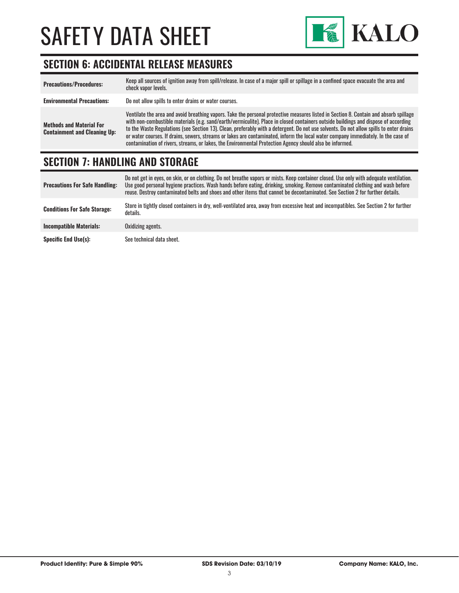

### **SECTION 6: ACCIDENTAL RELEASE MEASURES**

| <b>Precautions/Procedures:</b>                                         | Keep all sources of ignition away from spill/release. In case of a major spill or spillage in a confined space evacuate the area and<br>check vapor levels.                                                                                                                                                                                                                                                                                                                                                                                                                                                                                                               |
|------------------------------------------------------------------------|---------------------------------------------------------------------------------------------------------------------------------------------------------------------------------------------------------------------------------------------------------------------------------------------------------------------------------------------------------------------------------------------------------------------------------------------------------------------------------------------------------------------------------------------------------------------------------------------------------------------------------------------------------------------------|
| <b>Environmental Precautions:</b>                                      | Do not allow spills to enter drains or water courses.                                                                                                                                                                                                                                                                                                                                                                                                                                                                                                                                                                                                                     |
| <b>Methods and Material For</b><br><b>Containment and Cleaning Up:</b> | Ventilate the area and avoid breathing vapors. Take the personal protective measures listed in Section 8. Contain and absorb spillage<br>with non-combustible materials (e.g. sand/earth/vermiculite). Place in closed containers outside buildings and dispose of according<br>to the Waste Regulations (see Section 13). Clean, preferably with a detergent. Do not use solvents. Do not allow spills to enter drains<br>or water courses. If drains, sewers, streams or lakes are contaminated, inform the local water company immediately. In the case of<br>contamination of rivers, streams, or lakes, the Environmental Protection Agency should also be informed. |

#### **SECTION 7: HANDLING AND STORAGE**

| <b>Precautions For Safe Handling:</b> | Do not get in eyes, on skin, or on clothing. Do not breathe vapors or mists. Keep container closed. Use only with adequate ventilation.<br>Use good personal hygiene practices. Wash hands before eating, drinking, smoking. Remove contaminated clothing and wash before<br>reuse. Destroy contaminated belts and shoes and other items that cannot be decontaminated. See Section 2 for further details. |
|---------------------------------------|------------------------------------------------------------------------------------------------------------------------------------------------------------------------------------------------------------------------------------------------------------------------------------------------------------------------------------------------------------------------------------------------------------|
| <b>Conditions For Safe Storage:</b>   | Store in tightly closed containers in dry, well-ventilated area, away from excessive heat and incompatibles. See Section 2 for further<br>details.                                                                                                                                                                                                                                                         |
| <b>Incompatible Materials:</b>        | Oxidizing agents.                                                                                                                                                                                                                                                                                                                                                                                          |
| <b>Specific End Use(s):</b>           | See technical data sheet.                                                                                                                                                                                                                                                                                                                                                                                  |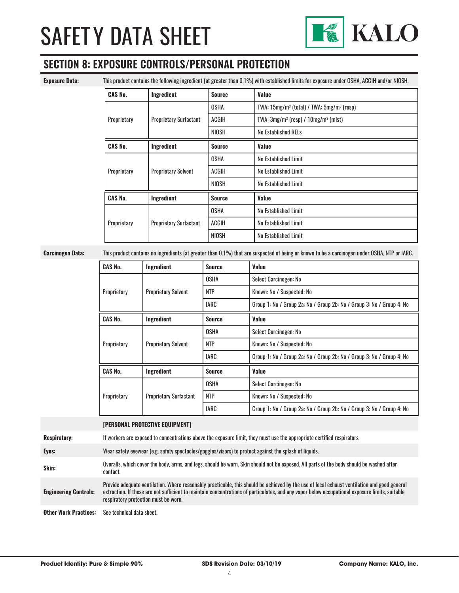

### **SECTION 8: EXPOSURE CONTROLS/PERSONAL PROTECTION**

**Exposure Data:** This product contains the following ingredient (at greater than 0.1%) with established limits for exposure under OSHA, ACGIH and/or NIOSH.

| <b>CAS No.</b>                            | Ingredient                    | <b>Source</b> | Value                                           |
|-------------------------------------------|-------------------------------|---------------|-------------------------------------------------|
| Proprietary                               |                               | OSHA          | TWA: $15mg/m^3$ (total) / TWA: $5mg/m^3$ (resp) |
|                                           | <b>Proprietary Surfactant</b> | ACGIH         | TWA: $3mg/m^3$ (resp) / $10mg/m^3$ (mist)       |
|                                           |                               | NIOSH         | <b>No Established RELs</b>                      |
| <b>CAS No.</b>                            | Ingredient                    | <b>Source</b> | Value                                           |
| <b>Proprietary Solvent</b><br>Proprietary |                               | <b>OSHA</b>   | No Established Limit                            |
|                                           |                               | ACGIH         | No Established Limit                            |
|                                           |                               | <b>NIOSH</b>  | No Established Limit                            |
| <b>CAS No.</b>                            | Ingredient                    | <b>Source</b> | Value                                           |
| Proprietary                               | <b>Proprietary Surfactant</b> | <b>OSHA</b>   | No Established Limit                            |
|                                           |                               | <b>ACGIH</b>  | No Established Limit                            |
|                                           |                               | <b>NIOSH</b>  | No Established Limit                            |

**Carcinogen Data:** This product contains no ingredients (at greater than 0.1%) that are suspected of being or known to be a carcinogen under OSHA, NTP or IARC.

| <b>CAS No.</b> | Ingredient                    | <b>Source</b> | Value                                                                 |
|----------------|-------------------------------|---------------|-----------------------------------------------------------------------|
| Proprietary    | <b>Proprietary Solvent</b>    | <b>OSHA</b>   | Select Carcinogen: No                                                 |
|                |                               | <b>NTP</b>    | Known: No / Suspected: No                                             |
|                |                               | <b>IARC</b>   | Group 1: No / Group 2a: No / Group 2b: No / Group 3: No / Group 4: No |
| <b>CAS No.</b> | Ingredient                    | <b>Source</b> | Value                                                                 |
| Proprietary    |                               | <b>OSHA</b>   | Select Carcinogen: No                                                 |
|                | <b>Proprietary Solvent</b>    | <b>NTP</b>    | Known: No / Suspected: No                                             |
|                |                               | <b>IARC</b>   | Group 1: No / Group 2a: No / Group 2b: No / Group 3: No / Group 4: No |
| <b>CAS No.</b> | Ingredient                    | <b>Source</b> | Value                                                                 |
| Proprietary    | <b>Proprietary Surfactant</b> | <b>OSHA</b>   | Select Carcinogen: No                                                 |
|                |                               | <b>NTP</b>    | Known: No / Suspected: No                                             |
|                |                               | <b>IARC</b>   | Group 1: No / Group 2a: No / Group 2b: No / Group 3: No / Group 4: No |

**[PERSONAL PROTECTIVE EQUIPMENT]**

**Respiratory:** If workers are exposed to concentrations above the exposure limit, they must use the appropriate certified respirators.

**Eyes:** Wear safety eyewear (e.g. safety spectacles/goggles/visors) to protect against the splash of liquids.

**Skin:** Overalls, which cover the body, arms, and legs, should be worn. Skin should not be exposed. All parts of the body should be washed after contact.

**Engineering Controls:** Provide adequate ventilation. Where reasonably practicable, this should be achieved by the use of local exhaust ventilation and good general extraction. If these are not sufficient to maintain concentrations of particulates, and any vapor below occupational exposure limits, suitable respiratory protection must be worn.

**Other Work Practices:** See technical data sheet.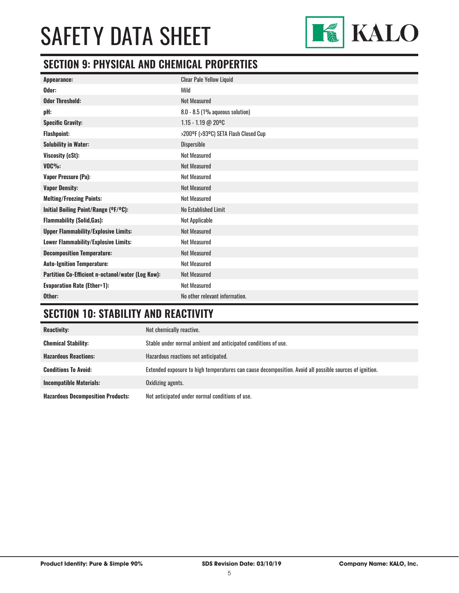

### **SECTION 9: PHYSICAL AND CHEMICAL PROPERTIES**

| Appearance:                                       | <b>Clear Pale Yellow Liquid</b>      |
|---------------------------------------------------|--------------------------------------|
| Odor:                                             | Mild                                 |
| <b>Odor Threshold:</b>                            | <b>Not Measured</b>                  |
| pH:                                               | $8.0 - 8.5$ (1% aqueous solution)    |
| <b>Specific Gravity:</b>                          | 1.15 - 1.19 @ 20°C                   |
| <b>Flashpoint:</b>                                | >200°F (>93°C) SETA Flash Closed Cup |
| <b>Solubility in Water:</b>                       | Dispersible                          |
| Viscosity (cSt):                                  | <b>Not Measured</b>                  |
| $VOC\%$ :                                         | <b>Not Measured</b>                  |
| <b>Vapor Pressure (Pa):</b>                       | <b>Not Measured</b>                  |
| <b>Vapor Density:</b>                             | <b>Not Measured</b>                  |
| <b>Melting/Freezing Points:</b>                   | <b>Not Measured</b>                  |
| Initial Boiling Point/Range (°F/°C):              | No Established Limit                 |
| <b>Flammability (Solid, Gas):</b>                 | Not Applicable                       |
| <b>Upper Flammability/Explosive Limits:</b>       | <b>Not Measured</b>                  |
| Lower Flammability/Explosive Limits:              | <b>Not Measured</b>                  |
| <b>Decomposition Temperature:</b>                 | <b>Not Measured</b>                  |
| <b>Auto-Ignition Temperature:</b>                 | <b>Not Measured</b>                  |
| Partition Co-Efficient n-octanol/water (Log Kow): | <b>Not Measured</b>                  |
| <b>Evaporation Rate (Ether=1):</b>                | <b>Not Measured</b>                  |
| Other:                                            | No other relevant information.       |

## **SECTION 10: STABILITY AND REACTIVITY**

| <b>Reactivity:</b>                       | Not chemically reactive.                                                                                |
|------------------------------------------|---------------------------------------------------------------------------------------------------------|
| <b>Chemical Stability:</b>               | Stable under normal ambient and anticipated conditions of use.                                          |
| <b>Hazardous Reactions:</b>              | Hazardous reactions not anticipated.                                                                    |
| <b>Conditions To Avoid:</b>              | Extended exposure to high temperatures can cause decomposition. Avoid all possible sources of ignition. |
| <b>Incompatible Materials:</b>           | Oxidizing agents.                                                                                       |
| <b>Hazardous Decomposition Products:</b> | Not anticipated under normal conditions of use.                                                         |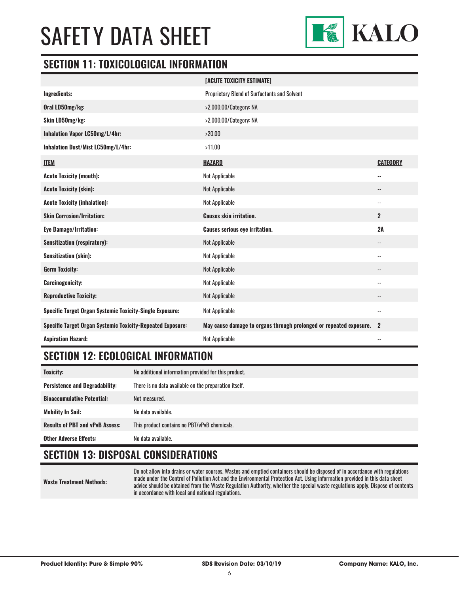

#### **SECTION 11: TOXICOLOGICAL INFORMATION**

|                                                                   | [ACUTE TOXICITY ESTIMATE]                                          |                          |
|-------------------------------------------------------------------|--------------------------------------------------------------------|--------------------------|
| Ingredients:                                                      | <b>Proprietary Blend of Surfactants and Solvent</b>                |                          |
| Oral LD50mg/kg:                                                   | >2,000.00/Category: NA                                             |                          |
| Skin LD50mg/kg:                                                   | >2,000.00/Category: NA                                             |                          |
| Inhalation Vapor LC50mg/L/4hr:                                    | >20.00                                                             |                          |
| Inhalation Dust/Mist LC50mg/L/4hr:                                | >11.00                                                             |                          |
| <b>ITEM</b>                                                       | <b>HAZARD</b>                                                      | <b>CATEGORY</b>          |
| <b>Acute Toxicity (mouth):</b>                                    | Not Applicable                                                     | $-$                      |
| <b>Acute Toxicity (skin):</b>                                     | <b>Not Applicable</b>                                              | --                       |
| <b>Acute Toxicity (inhalation):</b>                               | Not Applicable                                                     | $\overline{\phantom{a}}$ |
|                                                                   |                                                                    |                          |
| <b>Skin Corrosion/Irritation:</b>                                 | <b>Causes skin irritation.</b>                                     | $\overline{2}$           |
| <b>Eye Damage/Irritation:</b>                                     | <b>Causes serious eye irritation.</b>                              | 2A                       |
| <b>Sensitization (respiratory):</b>                               | <b>Not Applicable</b>                                              | $-$                      |
| Sensitization (skin):                                             | Not Applicable                                                     | $-$                      |
| <b>Germ Toxicity:</b>                                             | <b>Not Applicable</b>                                              | --                       |
| <b>Carcinogenicity:</b>                                           | Not Applicable                                                     | --                       |
| <b>Reproductive Toxicity:</b>                                     | <b>Not Applicable</b>                                              | $-\, -$                  |
| <b>Specific Target Organ Systemic Toxicity-Single Exposure:</b>   | Not Applicable                                                     | $-$                      |
| <b>Specific Target Organ Systemic Toxicity-Repeated Exposure:</b> | May cause damage to organs through prolonged or repeated exposure. | $\mathbf{2}$             |

### **SECTION 12: ECOLOGICAL INFORMATION**

| <b>Toxicity:</b>                       | No additional information provided for this product.  |
|----------------------------------------|-------------------------------------------------------|
| <b>Persistence and Degradability:</b>  | There is no data available on the preparation itself. |
| <b>Bioaccumulative Potential:</b>      | Not measured.                                         |
| <b>Mobility In Soil:</b>               | No data available.                                    |
| <b>Results of PBT and vPvB Assess:</b> | This product contains no PBT/vPvB chemicals.          |
| <b>Other Adverse Effects:</b>          | No data available.                                    |

### **SECTION 13: DISPOSAL CONSIDERATIONS**

**Waste Treatment Methods:**

Do not allow into drains or water courses. Wastes and emptied containers should be disposed of in accordance with regulations made under the Control of Pollution Act and the Environmental Protection Act. Using information provided in this data sheet advice should be obtained from the Waste Regulation Authority, whether the special waste regulations apply. Dispose of contents in accordance with local and national regulations.